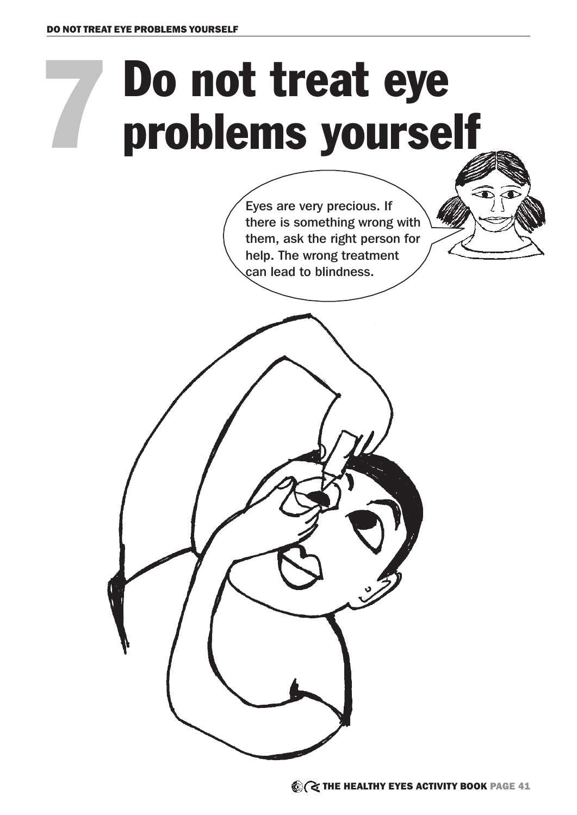7

## Do not treat eye problems yourself

Eyes are very precious. If there is something wrong with them, ask the right person for help. The wrong treatment can lead to blindness.

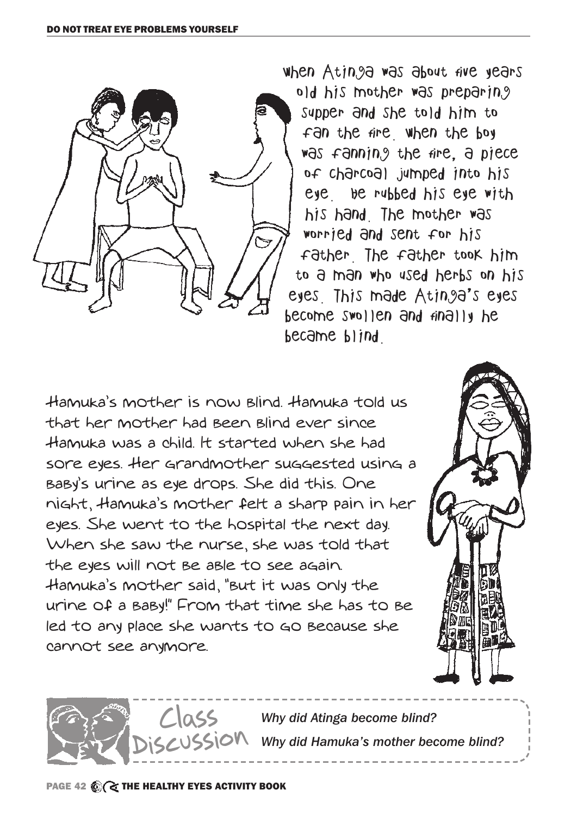

when Atinga was about five years old his mother was preparing supper and she told him to fan the fire. When the boy was fanning the fire, a piece of charcoal jumped into his eye. He rubbed his eye with his hand. The mother was worried and sent for his father. The father took him to a man who used herbs on his eyes. This made Atinga's eyes become swollen and finally he became blind.

Hamuka's mother is now blind. Hamuka told us that her mother had been blind ever since Hamuka was a child. It started when she had sore eyes. Her grandmother suggested using a baby's urine as eye drops. She did this. One night, Hamuka's mother felt a sharp pain in her eyes. She went to the hospital the next day. When she saw the nurse, she was told that the eyes will not be able to see again. Hamuka's mother said, "but it was only the urine of a baby!" From that time she has to be led to any place she wants to go because she cannot see anymore.



*Why did Atinga become blind?*   $550N$  Why did Hamuka's mother become blind? Class Discussion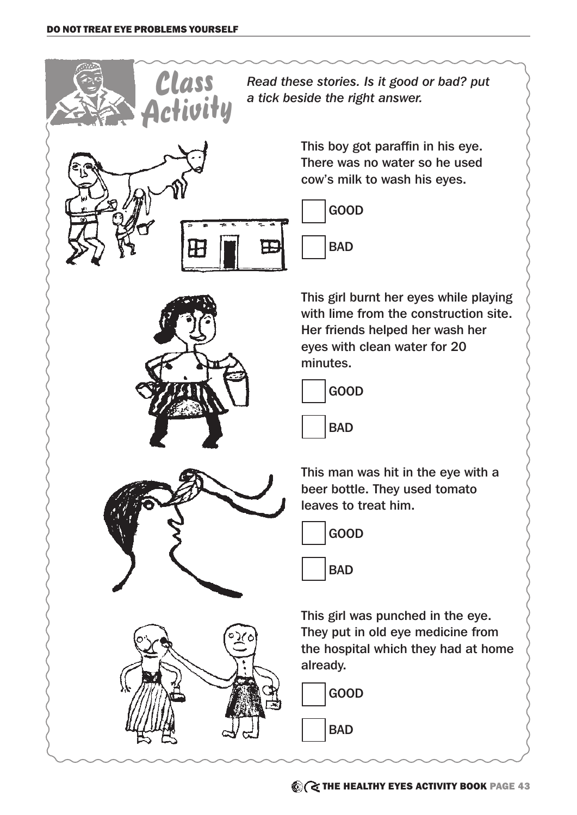